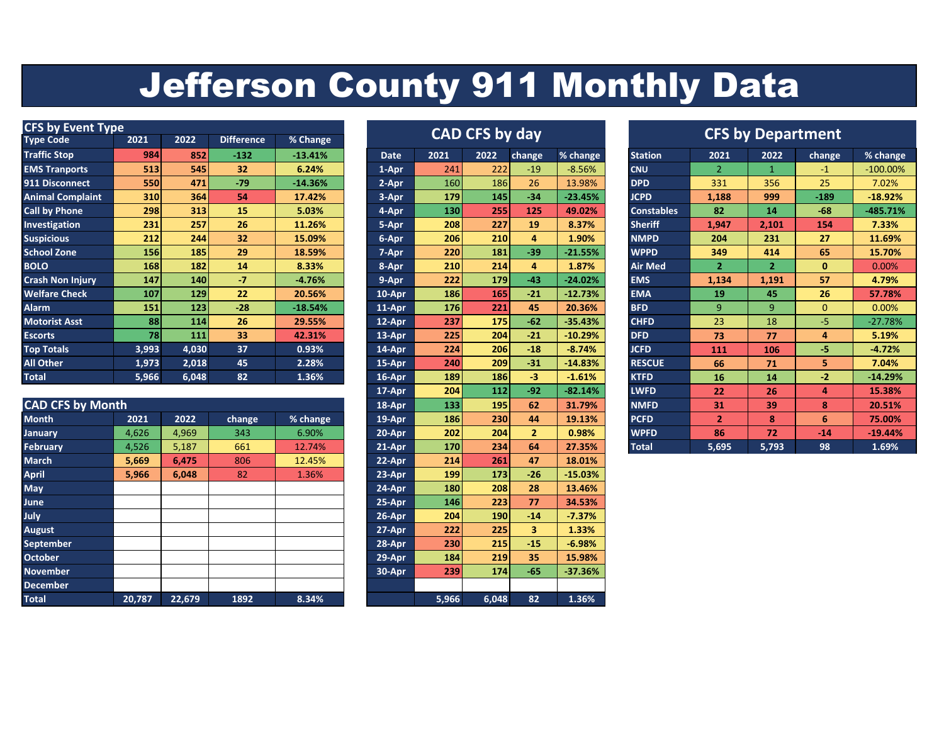## Jefferson County 911 Monthly Data

| <b>CFS by Event Type</b> |            |            |                   |           |                       |      |            | <b>CFS by Department</b> |           |                   |       |              |                |            |
|--------------------------|------------|------------|-------------------|-----------|-----------------------|------|------------|--------------------------|-----------|-------------------|-------|--------------|----------------|------------|
| <b>Type Code</b>         | 2021       | 2022       | <b>Difference</b> | % Change  | <b>CAD CFS by day</b> |      |            |                          |           |                   |       |              |                |            |
| <b>Traffic Stop</b>      | 984        | 852        | $-132$            | $-13.41%$ | <b>Date</b>           | 2021 | 2022       | change                   | % change  | <b>Station</b>    | 2021  | 2022         | change         | % change   |
| <b>EMS Tranports</b>     | 513        | 545        | 32                | 6.24%     | 1-Apr                 | 241  | 222        | $-19$                    | $-8.56%$  | <b>CNU</b>        |       |              | $-1$           | $-100.00%$ |
| 911 Disconnect           | <b>550</b> | 471        | $-79$             | $-14.36%$ | 2-Apr                 | 160  | 186        | 26                       | 13.98%    | <b>DPD</b>        | 331   | 356          | 25             | 7.02%      |
| <b>Animal Complaint</b>  | 310        | 364        | 54                | 17.42%    | 3-Apr                 | 179  | 145        | $-34$                    | $-23.45%$ | <b>JCPD</b>       | 1,188 | 999          | $-189$         | $-18.92%$  |
| <b>Call by Phone</b>     | 298        | 313        | 15                | 5.03%     | 4-Apr                 | 130  | 255        | 125                      | 49.02%    | <b>Constables</b> | 82    | 14           | $-68$          | $-485.71%$ |
| Investigation            | 231        | 257        | 26                | 11.26%    | 5-Apr                 | 208  | 227        | 19                       | 8.37%     | <b>Sheriff</b>    | 1,947 | 2,101        | 154            | 7.33%      |
| <b>Suspicious</b>        | 212        | 244        | 32                | 15.09%    | 6-Apr                 | 206  | 210        | 4                        | 1.90%     | <b>NMPD</b>       | 204   | 231          | 27             | 11.69%     |
| <b>School Zone</b>       | 156        | 185        | 29                | 18.59%    | 7-Apr                 | 220  | 181        | $-39$                    | $-21.55%$ | <b>WPPD</b>       | 349   | 414          | 65             | 15.70%     |
| <b>BOLO</b>              | 168        | 182        | 14                | 8.33%     | 8-Apr                 | 210  | 214        | 4                        | 1.87%     | <b>Air Med</b>    | 2     | $\mathbf{2}$ | 0              | 0.00%      |
| <b>Crash Non Injury</b>  | 147        | <b>140</b> | $-7$              | $-4.76%$  | 9-Apr                 | 222  | 179        | $-43$                    | $-24.02%$ | <b>EMS</b>        | 1,134 | 1,191        | 57             | 4.79%      |
| <b>Welfare Check</b>     | 107        | 129        | 22                | 20.56%    | 10-Apr                | 186  | 165        | $-21$                    | $-12.73%$ | <b>EMA</b>        | 19    | 45           | 26             | 57.78%     |
| <b>Alarm</b>             | 151        | 123        | $-28$             | $-18.54%$ | $11-Apr$              | 176  | 221        | 45                       | 20.36%    | <b>BFD</b>        | 9     | 9            | $\overline{0}$ | 0.00%      |
| <b>Motorist Asst</b>     | 88         | 114        | 26                | 29.55%    | 12-Apr                | 237  | <b>175</b> | $-62$                    | $-35.43%$ | <b>CHFD</b>       | 23    | 18           | $-5$           | $-27.78%$  |
| <b>Escorts</b>           | <b>78</b>  | 111        | 33                | 42.31%    | 13-Apr                | 225  | 204        | $-21$                    | $-10.29%$ | <b>DFD</b>        | 73    | 77           | 4              | 5.19%      |
| <b>Top Totals</b>        | 3,993      | 4,030      | 37                | 0.93%     | 14-Apr                | 224  | 206        | $-18$                    | $-8.74%$  | <b>JCFD</b>       | 111   | 106          | -5.            | $-4.72%$   |
| All Other                | 1,973      | 2,018      | 45                | 2.28%     | 15-Apr                | 240  | 209        | $-31$                    | $-14.83%$ | <b>RESCUE</b>     | 66    | 71           | 5.             | 7.04%      |
| <b>Total</b>             | 5,966      | 6,048      | 82                | 1.36%     | 16-Apr                | 189  | 186        | -3                       | $-1.61%$  | <b>KTFD</b>       | 16    | 14           | $-2$           | $-14.29%$  |

|                         |        |        |        |          |          |       |            |              | ____      |              |              |              |       | -------   |
|-------------------------|--------|--------|--------|----------|----------|-------|------------|--------------|-----------|--------------|--------------|--------------|-------|-----------|
| <b>CAD CFS by Month</b> |        |        |        |          | 18-Apr   | 133   | 195        | 62           | 31.79%    | <b>NMFD</b>  | 31           | 39           | 8     | 20.51%    |
| <b>Month</b>            | 2021   | 2022   | change | % change | 19-Apr   | 186   | 230        | 44           | 19.13%    | <b>PCFD</b>  | $\mathbf{2}$ | $\mathbf{8}$ | 6     | 75.00%    |
| <b>January</b>          | 4,626  | 4,969  | 343    | 6.90%    | 20-Apr   | 202   | 204        | $\mathbf{2}$ | 0.98%     | <b>WPFD</b>  | 86           | 72           | $-14$ | $-19.44%$ |
| <b>February</b>         | 4,526  | 5,187  | 661    | 12.74%   | $21-Apr$ | 170   | 234        | 64           | 27.35%    | <b>Total</b> | 5,695        | 5,793        | 98    | 1.69%     |
| <b>March</b>            | 5,669  | 6,475  | 806    | 12.45%   | 22-Apr   | 214   | 261        | 47           | 18.01%    |              |              |              |       |           |
| <b>April</b>            | 5,966  | 6,048  | 82     | 1.36%    | 23-Apr   | 199   | 173        | $-26$        | $-15.03%$ |              |              |              |       |           |
| <b>May</b>              |        |        |        |          | 24-Apr   | 180   | 208        | 28           | 13.46%    |              |              |              |       |           |
| <b>June</b>             |        |        |        |          | 25-Apr   | 146   | 223        | 77           | 34.53%    |              |              |              |       |           |
| <b>July</b>             |        |        |        |          | 26-Apr   | 204   | <b>190</b> | $-14$        | $-7.37%$  |              |              |              |       |           |
| <b>August</b>           |        |        |        |          | 27-Apr   | 222   | 225        | 3            | 1.33%     |              |              |              |       |           |
| September               |        |        |        |          | 28-Apr   | 230   | 215        | $-15$        | $-6.98%$  |              |              |              |       |           |
| <b>October</b>          |        |        |        |          | 29-Apr   | 184   | 219        | 35           | 15.98%    |              |              |              |       |           |
| <b>November</b>         |        |        |        |          | 30-Apr   | 239   | 174        | $-65$        | $-37.36%$ |              |              |              |       |           |
| <b>December</b>         |        |        |        |          |          |       |            |              |           |              |              |              |       |           |
| <b>Total</b>            | 20,787 | 22,679 | 1892   | 8.34%    |          | 5,966 | 6,048      | 82           | 1.36%     |              |              |              |       |           |

| <b>CAD CFS by day</b> |       |       |        |           |  |  |  |  |  |  |  |
|-----------------------|-------|-------|--------|-----------|--|--|--|--|--|--|--|
| <b>Date</b>           | 2021  | 2022  | change | % change  |  |  |  |  |  |  |  |
| 1-Apr                 | 241   | 222   | $-19$  | $-8.56%$  |  |  |  |  |  |  |  |
| 2-Apr                 | 160   | 186   | 26     | 13.98%    |  |  |  |  |  |  |  |
| 3-Apr                 | 179   | 145   | $-34$  | $-23.45%$ |  |  |  |  |  |  |  |
| 4-Apr                 | 130   | 255   | 125    | 49.02%    |  |  |  |  |  |  |  |
| 5-Apr                 | 208   | 227   | 19     | 8.37%     |  |  |  |  |  |  |  |
| 6-Apr                 | 206   | 210   | 4      | 1.90%     |  |  |  |  |  |  |  |
| 7-Apr                 | 220   | 181   | $-39$  | $-21.55%$ |  |  |  |  |  |  |  |
| 8-Apr                 | 210   | 214   | 4      | 1.87%     |  |  |  |  |  |  |  |
| 9-Apr                 | 222   | 179   | $-43$  | $-24.02%$ |  |  |  |  |  |  |  |
| 10-Apr                | 186   | 165   | $-21$  | $-12.73%$ |  |  |  |  |  |  |  |
| 11-Apr                | 176   | 221   | 45     | 20.36%    |  |  |  |  |  |  |  |
| 12-Apr                | 237   | 175   | $-62$  | $-35.43%$ |  |  |  |  |  |  |  |
| 13-Apr                | 225   | 204   | $-21$  | $-10.29%$ |  |  |  |  |  |  |  |
| 14-Apr                | 224   | 206   | $-18$  | $-8.74%$  |  |  |  |  |  |  |  |
| 15-Apr                | 240   | 209   | $-31$  | $-14.83%$ |  |  |  |  |  |  |  |
| $16 - Apr$            | 189   | 186   | -3     | $-1.61%$  |  |  |  |  |  |  |  |
| 17-Apr                | 204   | 112   | $-92$  | $-82.14%$ |  |  |  |  |  |  |  |
| 18-Apr                | 133   | 195   | 62     | 31.79%    |  |  |  |  |  |  |  |
| 19-Apr                | 186   | 230   | 44     | 19.13%    |  |  |  |  |  |  |  |
| 20-Apr                | 202   | 204   | 2      | 0.98%     |  |  |  |  |  |  |  |
| $21-Apr$              | 170   | 234   | 64     | 27.35%    |  |  |  |  |  |  |  |
| 22-Apr                | 214   | 261   | 47     | 18.01%    |  |  |  |  |  |  |  |
| 23-Apr                | 199   | 173   | $-26$  | $-15.03%$ |  |  |  |  |  |  |  |
| 24-Apr                | 180   | 208   | 28     | 13.46%    |  |  |  |  |  |  |  |
| 25-Apr                | 146   | 223   | 77     | 34.53%    |  |  |  |  |  |  |  |
| 26-Apr                | 204   | 190   | $-14$  | $-7.37%$  |  |  |  |  |  |  |  |
| 27-Apr                | 222   | 225   | 3      | 1.33%     |  |  |  |  |  |  |  |
| 28-Apr                | 230   | 215   | -15    | $-6.98%$  |  |  |  |  |  |  |  |
| $29 - Apr$            | 184   | 219   | 35     | 15.98%    |  |  |  |  |  |  |  |
| 30-Apr                | 239   | 174   | $-65$  | $-37.36%$ |  |  |  |  |  |  |  |
|                       |       |       |        |           |  |  |  |  |  |  |  |
|                       | 5,966 | 6,048 | 82     | 1.36%     |  |  |  |  |  |  |  |

|             |      | <b>CAD CFS by day</b> |                |           |                   | <b>CFS by Department</b> |                |              |             |  |  |  |  |
|-------------|------|-----------------------|----------------|-----------|-------------------|--------------------------|----------------|--------------|-------------|--|--|--|--|
| <b>Date</b> | 2021 | 2022                  | change         | % change  | <b>Station</b>    | 2021                     | 2022           | change       | % change    |  |  |  |  |
| $1-Apr$     | 241  | 222                   | $-19$          | $-8.56%$  | <b>CNU</b>        | $\overline{2}$           | 1              | $-1$         | $-100.00\%$ |  |  |  |  |
| $2 - Apr$   | 160  | 186                   | 26             | 13.98%    | <b>DPD</b>        | 331                      | 356            | 25           | 7.02%       |  |  |  |  |
| 3-Apr       | 179  | 145                   | $-34$          | $-23.45%$ | <b>JCPD</b>       | 1,188                    | 999            | $-189$       | $-18.92%$   |  |  |  |  |
| 4-Apr       | 130  | 255                   | 125            | 49.02%    | <b>Constables</b> | 82                       | 14             | $-68$        | $-485.71%$  |  |  |  |  |
| 5-Apr       | 208  | 227                   | 19             | 8.37%     | <b>Sheriff</b>    | 1,947                    | 2,101          | 154          | 7.33%       |  |  |  |  |
| 6-Apr       | 206  | 210                   | 4              | 1.90%     | <b>NMPD</b>       | 204                      | 231            | 27           | 11.69%      |  |  |  |  |
| 7-Apr       | 220  | 181                   | $-39$          | $-21.55%$ | <b>WPPD</b>       | 349                      | 414            | 65           | 15.70%      |  |  |  |  |
| 8-Apr       | 210  | 214                   | 4              | 1.87%     | <b>Air Med</b>    | $\overline{2}$           | $\overline{2}$ | $\mathbf{0}$ | 0.00%       |  |  |  |  |
| 9-Apr       | 222  | 179                   | $-43$          | $-24.02%$ | <b>EMS</b>        | 1,134                    | 1,191          | 57           | 4.79%       |  |  |  |  |
| 10-Apr      | 186  | 165                   | $-21$          | $-12.73%$ | <b>EMA</b>        | 19                       | 45             | 26           | 57.78%      |  |  |  |  |
| 11-Apr      | 176  | 221                   | 45             | 20.36%    | <b>BFD</b>        | 9                        | 9              | $\mathbf{0}$ | 0.00%       |  |  |  |  |
| $12$ -Apr   | 237  | 175                   | $-62$          | $-35.43%$ | <b>CHFD</b>       | 23                       | 18             | $-5$         | $-27.78%$   |  |  |  |  |
| $13-Apr$    | 225  | 204                   | $-21$          | $-10.29%$ | <b>DFD</b>        | 73                       | 77             | 4            | 5.19%       |  |  |  |  |
| 14-Apr      | 224  | 206                   | $-18$          | $-8.74%$  | <b>JCFD</b>       | 111                      | 106            | -5           | $-4.72%$    |  |  |  |  |
| 15-Apr      | 240  | 209                   | $-31$          | $-14.83%$ | <b>RESCUE</b>     | 66                       | 71             | 5            | 7.04%       |  |  |  |  |
| 16-Apr      | 189  | 186                   | $-3$           | $-1.61%$  | <b>KTFD</b>       | 16                       | 14             | $-2$         | $-14.29%$   |  |  |  |  |
| $17 - Apr$  | 204  | 112                   | $-92$          | $-82.14%$ | <b>LWFD</b>       | 22                       | 26             | 4            | 15.38%      |  |  |  |  |
| 18-Apr      | 133  | 195                   | 62             | 31.79%    | <b>NMFD</b>       | 31                       | 39             | 8            | 20.51%      |  |  |  |  |
| 19-Apr      | 186  | 230                   | 44             | 19.13%    | <b>PCFD</b>       | $\overline{2}$           | 8              | 6            | 75.00%      |  |  |  |  |
| $20 - Apr$  | 202  | 204                   | $\overline{2}$ | 0.98%     | <b>WPFD</b>       | 86                       | 72             | $-14$        | $-19.44%$   |  |  |  |  |
| $21 -$ Anr  | 170  | 22A                   | <b>CA</b>      | 27 25%    | Total             | <b>E GOE</b>             | 5 702          | QQ           | 1.69%       |  |  |  |  |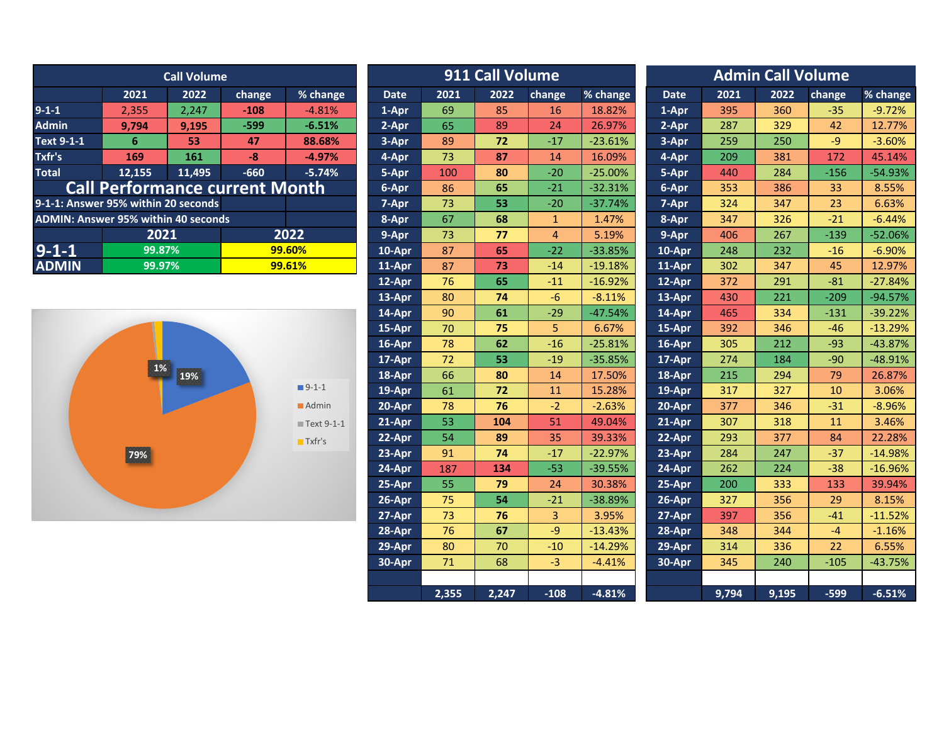| <b>Call Volume</b>                         |                                       |        |        |          |             | 911 Call Volume<br><b>Admin Call Volume</b> |       |        |           |             |        |           |        |           |
|--------------------------------------------|---------------------------------------|--------|--------|----------|-------------|---------------------------------------------|-------|--------|-----------|-------------|--------|-----------|--------|-----------|
|                                            | 2021                                  | 2022   | change | % change | <b>Date</b> | 2021                                        | 2022  | change | % change  | <b>Date</b> | 2021   | 2022      | change | % change  |
| $9 - 1 - 1$                                | 2.355                                 | 2.247  | $-108$ | $-4.81%$ | 1-Apr       | 69                                          | 85    | 16     | 18.82%    | 1-Apr       | 395    | 360       | $-35$  | $-9.72%$  |
| <b>Admin</b>                               | 9.794                                 | 9,195  | $-599$ | $-6.51%$ | 2-Apr       | 65                                          | 89    | 24     | 26.97%    | 2-Apr       | 287    | 329       | 42     | 12.77%    |
| Text 9-1-1                                 | 6                                     | 53     | 47     | 88.68%   | 3-Apr       | 89                                          | 72    | $-17$  | $-23.61%$ | 3-Apr       | 259    | 250       | $-9$   | $-3.60%$  |
| Txfr's                                     | 169                                   | 161    | -8     | $-4.97%$ | 4-Apr       | 73                                          | 87    | 14     | 16.09%    | 4-Apr       | 209    | 381       | 172    | 45.14%    |
| <b>Total</b>                               | 12.155                                | 11.495 | $-660$ | $-5.74%$ | 5-Apr       | 100                                         | 80    | $-20$  | $-25.00%$ | 5-Apr       | 440    | 284       | $-156$ | $-54.93%$ |
|                                            | <b>Call Performance current Month</b> |        |        |          | 6-Apr       | 86                                          | 65    | $-21$  | $-32.31%$ | 6-Apr       | 353    | 386       | 33     | 8.55%     |
| 9-1-1: Answer 95% within 20 seconds        |                                       |        |        |          | 7-Apr       | 73                                          | 53    | $-20$  | $-37.74%$ | 7-Apr       | 324    | 347       | 23     | 6.63%     |
| <b>ADMIN: Answer 95% within 40 seconds</b> |                                       |        |        |          | 8-Apr       | 67                                          | 68    |        | 1.47%     | 8-Apr       | 347    | 326       | $-21$  | $-6.44%$  |
|                                            | 2022<br>2021                          |        | 9-Apr  | 73       | 77          | 4                                           | 5.19% | 9-Apr  | 406       | 267         | $-139$ | $-52.06%$ |        |           |
| $9 - 1 - 1$                                | 99.87%                                |        |        | 99.60%   | 10-Apr      | 87                                          | 65    | $-22$  | $-33.85%$ | 10-Apr      | 248    | 232       | $-16$  | $-6.90%$  |
| <b>ADMIN</b>                               | 99.97%                                |        |        | 99.61%   | 11-Apr      | 87                                          | 73    | $-14$  | $-19.18%$ | 11-Apr      | 302    | 347       | 45     | 12.97%    |
|                                            |                                       |        |        |          |             |                                             |       |        |           |             |        |           |        |           |



|                        | <b>Call Volume</b>   |        |                       |             |       | 911 Call Volume |                |           |             |       | <b>Admin Call Volume</b> |          |           |  |  |  |  |
|------------------------|----------------------|--------|-----------------------|-------------|-------|-----------------|----------------|-----------|-------------|-------|--------------------------|----------|-----------|--|--|--|--|
| 2021                   | 2022                 | change | % change              | <b>Date</b> | 2021  | 2022            | change         | % change  | <b>Date</b> | 2021  | 2022                     | change   | % change  |  |  |  |  |
| 2,355                  | 2,247                | $-108$ | $-4.81%$              | 1-Apr       | 69    | 85              | 16             | 18.82%    | 1-Apr       | 395   | 360                      | $-35$    | $-9.72%$  |  |  |  |  |
| 9,794                  | 9,195                | $-599$ | $-6.51%$              | 2-Apr       | 65    | 89              | 24             | 26.97%    | 2-Apr       | 287   | 329                      | 42       | 12.77%    |  |  |  |  |
| 6 <sup>1</sup>         | 53                   | 47     | 88.68%                | 3-Apr       | 89    | 72              | $-17$          | $-23.61%$ | 3-Apr       | 259   | 250                      | $-9$     | $-3.60%$  |  |  |  |  |
| 169                    | 161                  | $-8$   | $-4.97%$              | 4-Apr       | 73    | 87              | 14             | 16.09%    | 4-Apr       | 209   | 381                      | 172      | 45.14%    |  |  |  |  |
| 2,155                  | 11,495               | $-660$ | $-5.74%$              | 5-Apr       | 100   | 80              | $-20$          | $-25.00%$ | 5-Apr       | 440   | 284                      | $-156$   | $-54.93%$ |  |  |  |  |
| formance current Month |                      |        | 6-Apr                 | 86          | 65    | $-21$           | $-32.31%$      | 6-Apr     | 353         | 386   | 33                       | 8.55%    |           |  |  |  |  |
|                        | 6 within 20 seconds  |        |                       | 7-Apr       | 73    | 53              | $-20$          | $-37.74%$ | 7-Apr       | 324   | 347                      | 23       | 6.63%     |  |  |  |  |
|                        | 5% within 40 seconds |        |                       | 8-Apr       | 67    | 68              | $\mathbf{1}$   | 1.47%     | 8-Apr       | 347   | 326                      | $-21$    | $-6.44%$  |  |  |  |  |
| 2021                   |                      |        | 2022                  | 9-Apr       | 73    | 77              | $\overline{4}$ | 5.19%     | 9-Apr       | 406   | 267                      | $-139$   | $-52.06%$ |  |  |  |  |
| 99.87%<br>99.60%       |                      |        | 10-Apr                | 87          | 65    | $-22$           | $-33.85%$      | 10-Apr    | 248         | 232   | $-16$                    | $-6.90%$ |           |  |  |  |  |
| 99.97%                 |                      |        | 99.61%                | 11-Apr      | 87    | 73              | $-14$          | $-19.18%$ | 11-Apr      | 302   | 347                      | 45       | 12.97%    |  |  |  |  |
|                        |                      |        |                       | 12-Apr      | 76    | 65              | $-11$          | $-16.92%$ | 12-Apr      | 372   | 291                      | $-81$    | $-27.84%$ |  |  |  |  |
|                        |                      |        |                       | 13-Apr      | 80    | 74              | $-6$           | $-8.11%$  | 13-Apr      | 430   | 221                      | $-209$   | $-94.57%$ |  |  |  |  |
|                        |                      |        |                       | 14-Apr      | 90    | 61              | $-29$          | $-47.54%$ | 14-Apr      | 465   | 334                      | $-131$   | $-39.22%$ |  |  |  |  |
|                        |                      |        |                       | 15-Apr      | 70    | 75              | 5              | 6.67%     | 15-Apr      | 392   | 346                      | $-46$    | $-13.29%$ |  |  |  |  |
|                        |                      |        |                       | 16-Apr      | 78    | 62              | $-16$          | $-25.81%$ | 16-Apr      | 305   | 212                      | $-93$    | $-43.87%$ |  |  |  |  |
|                        |                      |        |                       | 17-Apr      | 72    | 53              | $-19$          | $-35.85%$ | 17-Apr      | 274   | 184                      | $-90$    | $-48.91%$ |  |  |  |  |
| $1\%$                  | 19%                  |        |                       | 18-Apr      | 66    | 80              | 14             | 17.50%    | 18-Apr      | 215   | 294                      | 79       | 26.87%    |  |  |  |  |
|                        |                      |        | $9 - 1 - 1$           | 19-Apr      | 61    | 72              | 11             | 15.28%    | 19-Apr      | 317   | 327                      | 10       | 3.06%     |  |  |  |  |
|                        |                      |        | Admin                 | 20-Apr      | 78    | 76              | $-2$           | $-2.63%$  | 20-Apr      | 377   | 346                      | $-31$    | $-8.96%$  |  |  |  |  |
|                        |                      |        | Text 9-1-1            | 21-Apr      | 53    | 104             | 51             | 49.04%    | 21-Apr      | 307   | 318                      | 11       | 3.46%     |  |  |  |  |
|                        |                      |        | $\blacksquare$ Txfr's | 22-Apr      | 54    | 89              | 35             | 39.33%    | 22-Apr      | 293   | 377                      | 84       | 22.28%    |  |  |  |  |
| 79%                    |                      |        |                       | 23-Apr      | 91    | 74              | $-17$          | $-22.97%$ | 23-Apr      | 284   | 247                      | $-37$    | $-14.98%$ |  |  |  |  |
|                        |                      |        |                       | 24-Apr      | 187   | 134             | $-53$          | $-39.55%$ | 24-Apr      | 262   | 224                      | $-38$    | $-16.96%$ |  |  |  |  |
|                        |                      |        |                       | 25-Apr      | 55    | 79              | 24             | 30.38%    | 25-Apr      | 200   | 333                      | 133      | 39.94%    |  |  |  |  |
|                        |                      |        |                       | 26-Apr      | 75    | 54              | $-21$          | -38.89%   | 26-Apr      | 327   | 356                      | 29       | 8.15%     |  |  |  |  |
|                        |                      |        |                       | 27-Apr      | 73    | 76              | 3              | 3.95%     | 27-Apr      | 397   | 356                      | $-41$    | $-11.52%$ |  |  |  |  |
|                        |                      |        |                       | 28-Apr      | 76    | 67              | $-9$           | $-13.43%$ | 28-Apr      | 348   | 344                      | $-4$     | $-1.16%$  |  |  |  |  |
|                        |                      |        |                       | 29-Apr      | 80    | 70              | $-10$          | $-14.29%$ | 29-Apr      | 314   | 336                      | 22       | 6.55%     |  |  |  |  |
|                        |                      |        |                       | 30-Apr      | 71    | 68              | $-3$           | $-4.41%$  | 30-Apr      | 345   | 240                      | $-105$   | $-43.75%$ |  |  |  |  |
|                        |                      |        |                       |             |       |                 |                |           |             |       |                          |          |           |  |  |  |  |
|                        |                      |        |                       |             | 2,355 | 2,247           | $-108$         | $-4.81%$  |             | 9,794 | 9,195                    | $-599$   | $-6.51%$  |  |  |  |  |
|                        |                      |        |                       |             |       |                 |                |           |             |       |                          |          |           |  |  |  |  |

| <b>Admin Call Volume</b> |       |       |        |           |  |  |  |  |  |  |  |
|--------------------------|-------|-------|--------|-----------|--|--|--|--|--|--|--|
| <b>Date</b>              | 2021  | 2022  | change | % change  |  |  |  |  |  |  |  |
| 1-Apr                    | 395   | 360   | $-35$  | $-9.72%$  |  |  |  |  |  |  |  |
| 2-Apr                    | 287   | 329   | 42     | 12.77%    |  |  |  |  |  |  |  |
| 3-Apr                    | 259   | 250   | -9     | $-3.60%$  |  |  |  |  |  |  |  |
| 4-Apr                    | 209   | 381   | 172    | 45.14%    |  |  |  |  |  |  |  |
| 5-Apr                    | 440   | 284   | $-156$ | $-54.93%$ |  |  |  |  |  |  |  |
| 6-Apr                    | 353   | 386   | 33     | 8.55%     |  |  |  |  |  |  |  |
| 7-Apr                    | 324   | 347   | 23     | 6.63%     |  |  |  |  |  |  |  |
| 8-Apr                    | 347   | 326   | $-21$  | $-6.44%$  |  |  |  |  |  |  |  |
| 9-Apr                    | 406   | 267   | $-139$ | $-52.06%$ |  |  |  |  |  |  |  |
| $10 - Apr$               | 248   | 232   | $-16$  | $-6.90%$  |  |  |  |  |  |  |  |
| $11-Apr$                 | 302   | 347   | 45     | 12.97%    |  |  |  |  |  |  |  |
| 12-Apr                   | 372   | 291   | $-81$  | $-27.84%$ |  |  |  |  |  |  |  |
| 13-Apr                   | 430   | 221   | $-209$ | $-94.57%$ |  |  |  |  |  |  |  |
| $14-Apr$                 | 465   | 334   | $-131$ | -39.22%   |  |  |  |  |  |  |  |
| $15 - Apr$               | 392   | 346   | $-46$  | $-13.29%$ |  |  |  |  |  |  |  |
| 16-Apr                   | 305   | 212   | $-93$  | $-43.87%$ |  |  |  |  |  |  |  |
| 17-Apr                   | 274   | 184   | $-90$  | $-48.91%$ |  |  |  |  |  |  |  |
| 18-Apr                   | 215   | 294   | 79     | 26.87%    |  |  |  |  |  |  |  |
| 19-Apr                   | 317   | 327   | 10     | 3.06%     |  |  |  |  |  |  |  |
| 20-Apr                   | 377   | 346   | $-31$  | $-8.96%$  |  |  |  |  |  |  |  |
| 21-Apr                   | 307   | 318   | 11     | 3.46%     |  |  |  |  |  |  |  |
| 22-Apr                   | 293   | 377   | 84     | 22.28%    |  |  |  |  |  |  |  |
| 23-Apr                   | 284   | 247   | $-37$  | $-14.98%$ |  |  |  |  |  |  |  |
| 24-Apr                   | 262   | 224   | $-38$  | $-16.96%$ |  |  |  |  |  |  |  |
| 25-Apr                   | 200   | 333   | 133    | 39.94%    |  |  |  |  |  |  |  |
| 26-Apr                   | 327   | 356   | 29     | 8.15%     |  |  |  |  |  |  |  |
| 27-Apr                   | 397   | 356   | $-41$  | $-11.52%$ |  |  |  |  |  |  |  |
| 28-Apr                   | 348   | 344   | $-4$   | $-1.16%$  |  |  |  |  |  |  |  |
| 29-Apr                   | 314   | 336   | 22     | 6.55%     |  |  |  |  |  |  |  |
| $30-Apr$                 | 345   | 240   | $-105$ | $-43.75%$ |  |  |  |  |  |  |  |
|                          |       |       |        |           |  |  |  |  |  |  |  |
|                          | 9.794 | 9.195 | -599   | $-6.51%$  |  |  |  |  |  |  |  |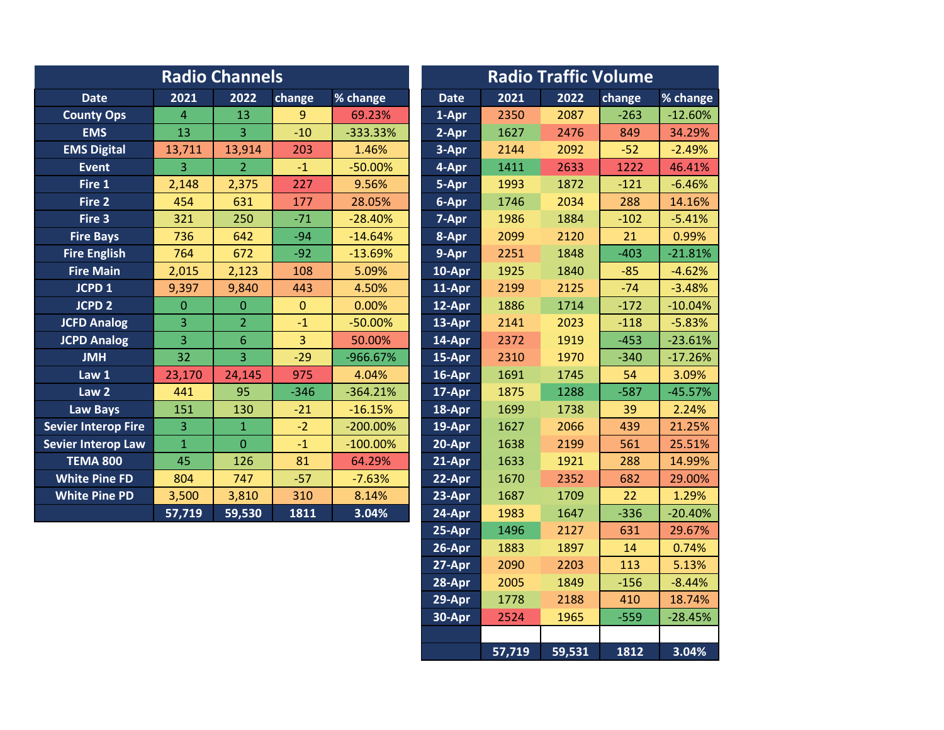|                            |                | <b>Radio Channels</b> |                |             | <b>Radio Traffic Volume</b> |      |      |        |           |  |
|----------------------------|----------------|-----------------------|----------------|-------------|-----------------------------|------|------|--------|-----------|--|
| <b>Date</b>                | 2021           | 2022                  | change         | % change    | <b>Date</b>                 | 2021 | 2022 | change | % change  |  |
| <b>County Ops</b>          | $\overline{4}$ | 13                    | $\overline{9}$ | 69.23%      | 1-Apr                       | 2350 | 2087 | $-263$ | $-12.60%$ |  |
| <b>EMS</b>                 | 13             | $\overline{3}$        | $-10$          | $-333.33%$  | 2-Apr                       | 1627 | 2476 | 849    | 34.29%    |  |
| <b>EMS Digital</b>         | 13,711         | 13,914                | 203            | 1.46%       | 3-Apr                       | 2144 | 2092 | $-52$  | $-2.49%$  |  |
| <b>Event</b>               | 3              | 2 <sup>1</sup>        | $-1$           | $-50.00%$   | 4-Apr                       | 1411 | 2633 | 1222   | 46.41%    |  |
| Fire 1                     | 2,148          | 2,375                 | 227            | 9.56%       | 5-Apr                       | 1993 | 1872 | $-121$ | $-6.46%$  |  |
| Fire 2                     | 454            | 631                   | 177            | 28.05%      | 6-Apr                       | 1746 | 2034 | 288    | 14.16%    |  |
| Fire 3                     | 321            | 250                   | $-71$          | $-28.40%$   | 7-Apr                       | 1986 | 1884 | $-102$ | $-5.41%$  |  |
| <b>Fire Bays</b>           | 736            | 642                   | $-94$          | $-14.64%$   | 8-Apr                       | 2099 | 2120 | 21     | 0.99%     |  |
| <b>Fire English</b>        | 764            | 672                   | $-92$          | $-13.69%$   | 9-Apr                       | 2251 | 1848 | $-403$ | $-21.81%$ |  |
| <b>Fire Main</b>           | 2,015          | 2,123                 | 108            | 5.09%       | 10-Apr                      | 1925 | 1840 | $-85$  | $-4.62%$  |  |
| JCPD <sub>1</sub>          | 9,397          | 9,840                 | 443            | 4.50%       | 11-Apr                      | 2199 | 2125 | $-74$  | $-3.48%$  |  |
| <b>JCPD 2</b>              | 0              | $\overline{0}$        | $\overline{0}$ | 0.00%       | 12-Apr                      | 1886 | 1714 | $-172$ | $-10.04%$ |  |
| <b>JCFD Analog</b>         | 3              | $\overline{2}$        | $-1$           | $-50.00%$   | 13-Apr                      | 2141 | 2023 | $-118$ | $-5.83%$  |  |
| <b>JCPD Analog</b>         | 3              | $6\phantom{1}$        | $\overline{3}$ | 50.00%      | 14-Apr                      | 2372 | 1919 | $-453$ | $-23.61%$ |  |
| <b>JMH</b>                 | 32             | $\overline{3}$        | $-29$          | -966.67%    | 15-Apr                      | 2310 | 1970 | $-340$ | $-17.26%$ |  |
| Law 1                      | 23,170         | 24,145                | 975            | 4.04%       | 16-Apr                      | 1691 | 1745 | 54     | 3.09%     |  |
| Law <sub>2</sub>           | 441            | 95                    | $-346$         | $-364.21%$  | 17-Apr                      | 1875 | 1288 | $-587$ | $-45.57%$ |  |
| <b>Law Bays</b>            | 151            | 130                   | $-21$          | $-16.15%$   | 18-Apr                      | 1699 | 1738 | 39     | 2.24%     |  |
| <b>Sevier Interop Fire</b> | $\overline{3}$ | $\mathbf{1}$          | $-2$           | $-200.00\%$ | 19-Apr                      | 1627 | 2066 | 439    | 21.25%    |  |
| <b>Sevier Interop Law</b>  | $\overline{1}$ | $\overline{0}$        | $-1$           | $-100.00\%$ | 20-Apr                      | 1638 | 2199 | 561    | 25.51%    |  |
| <b>TEMA 800</b>            | 45             | 126                   | 81             | 64.29%      | 21-Apr                      | 1633 | 1921 | 288    | 14.99%    |  |
| <b>White Pine FD</b>       | 804            | 747                   | $-57$          | $-7.63%$    | 22-Apr                      | 1670 | 2352 | 682    | 29.00%    |  |
| <b>White Pine PD</b>       | 3,500          | 3,810                 | 310            | 8.14%       | 23-Apr                      | 1687 | 1709 | 22     | 1.29%     |  |
|                            | 57,719         | 59,530                | 1811           | 3.04%       | 24-Apr                      | 1983 | 1647 | $-336$ | $-20.40%$ |  |
|                            |                |                       |                |             | 25-Apr                      | 1496 | 2127 | 631    | 29.67%    |  |
|                            |                |                       |                |             | 26-Apr                      | 1883 | 1897 | 14     | 0.74%     |  |
|                            |                |                       |                |             | 27-Apr                      | 2090 | 2203 | 113    | 5.13%     |  |

**28-Apr** 2005 1849 -156 -8.44% **29-Apr 1778 2188 410 18.74% 30-Apr** 2524 1965 -559 -28.45%

**57,719 59,531 1812 3.04%**